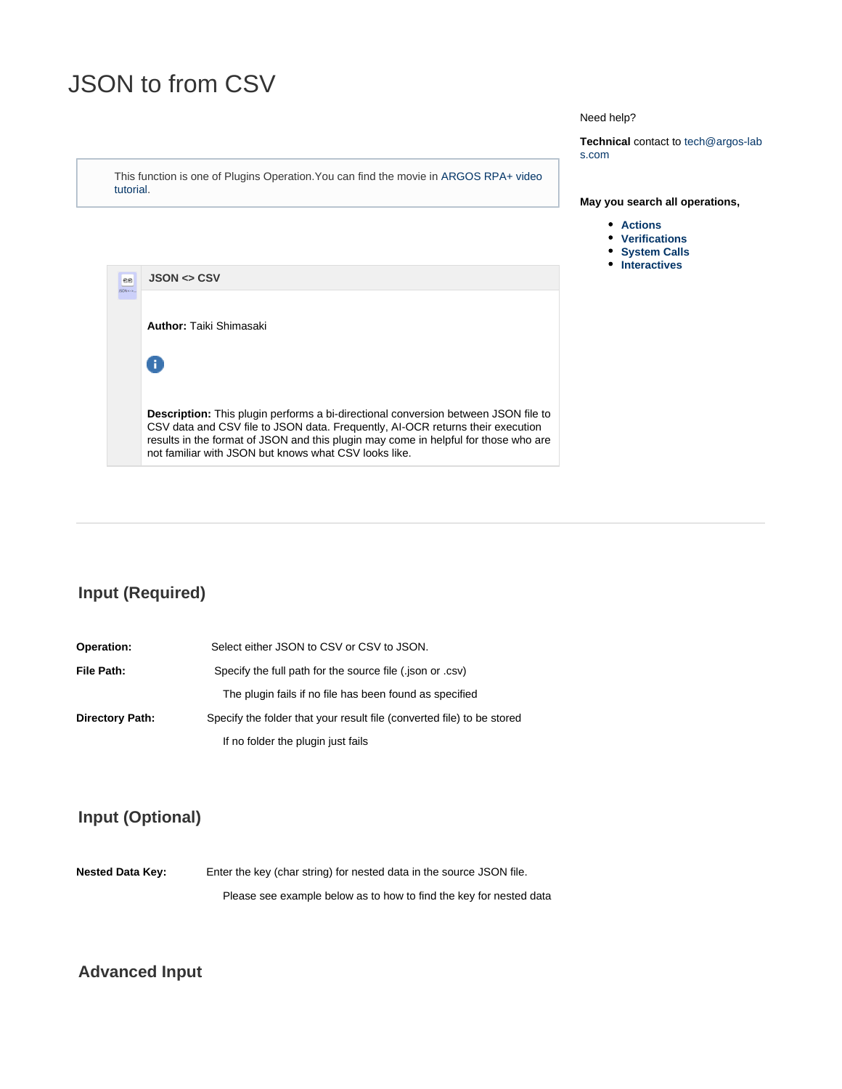# <span id="page-0-0"></span>JSON to from CSV

This function is one of Plugins Operation.You can find the movie in [ARGOS RPA+ video](https://www.argos-labs.com/video-tutorial/) [tutorial](https://www.argos-labs.com/video-tutorial/).

#### Need help?

**Technical** contact to tech@argos-lab s.com

#### **May you search all operations,**

- **[Actions](https://wiki.argos-labs.com/display/RPARELNOTE/Actions)**
- **[Verifications](https://wiki.argos-labs.com/display/RPARELNOTE/Verifications)**
- **[System Calls](https://wiki.argos-labs.com/display/RPARELNOTE/System+Calls)**
- **•** [Interactives](https://wiki.argos-labs.com/display/RPARELNOTE/Interactives)



### **Input (Required)**

**Operation:** Select either JSON to CSV or CSV to JSON. **File Path:** Specify the full path for the source file (.json or .csv) The plugin fails if no file has been found as specified **Directory Path:** Specify the folder that your result file (converted file) to be stored If no folder the plugin just fails

### **Input (Optional)**

Nested Data Key: Enter the key (char string) for nested data in the source JSON file. Please see example below as to how to find the key for nested data

#### **Advanced Input**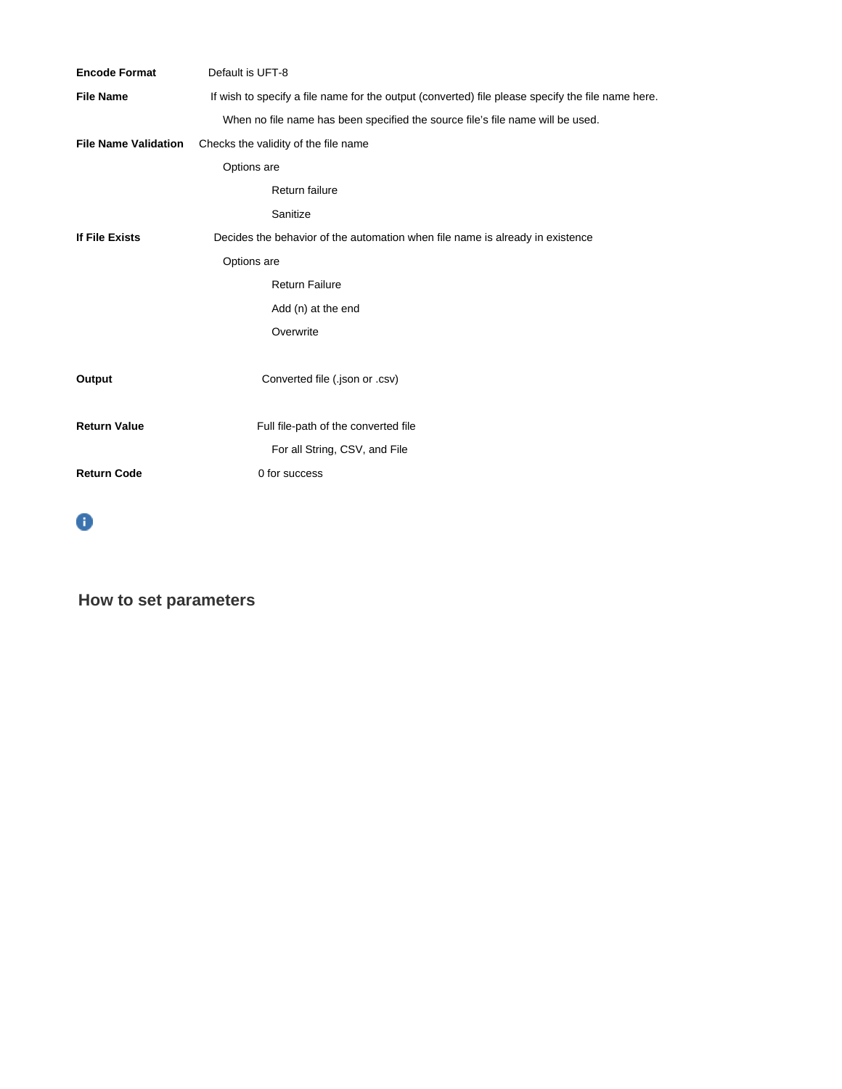| <b>Encode Format</b>        | Default is UFT-8                                                                                  |
|-----------------------------|---------------------------------------------------------------------------------------------------|
| <b>File Name</b>            | If wish to specify a file name for the output (converted) file please specify the file name here. |
|                             | When no file name has been specified the source file's file name will be used.                    |
| <b>File Name Validation</b> | Checks the validity of the file name                                                              |
|                             | Options are                                                                                       |
|                             | Return failure                                                                                    |
|                             | Sanitize                                                                                          |
| If File Exists              | Decides the behavior of the automation when file name is already in existence                     |
|                             | Options are                                                                                       |
|                             | <b>Return Failure</b>                                                                             |
|                             | Add (n) at the end                                                                                |
|                             | Overwrite                                                                                         |
|                             |                                                                                                   |
| Output                      | Converted file (.json or .csv)                                                                    |
|                             |                                                                                                   |
| <b>Return Value</b>         | Full file-path of the converted file                                                              |
|                             | For all String, CSV, and File                                                                     |
| <b>Return Code</b>          | 0 for success                                                                                     |
|                             |                                                                                                   |



**How to set parameters**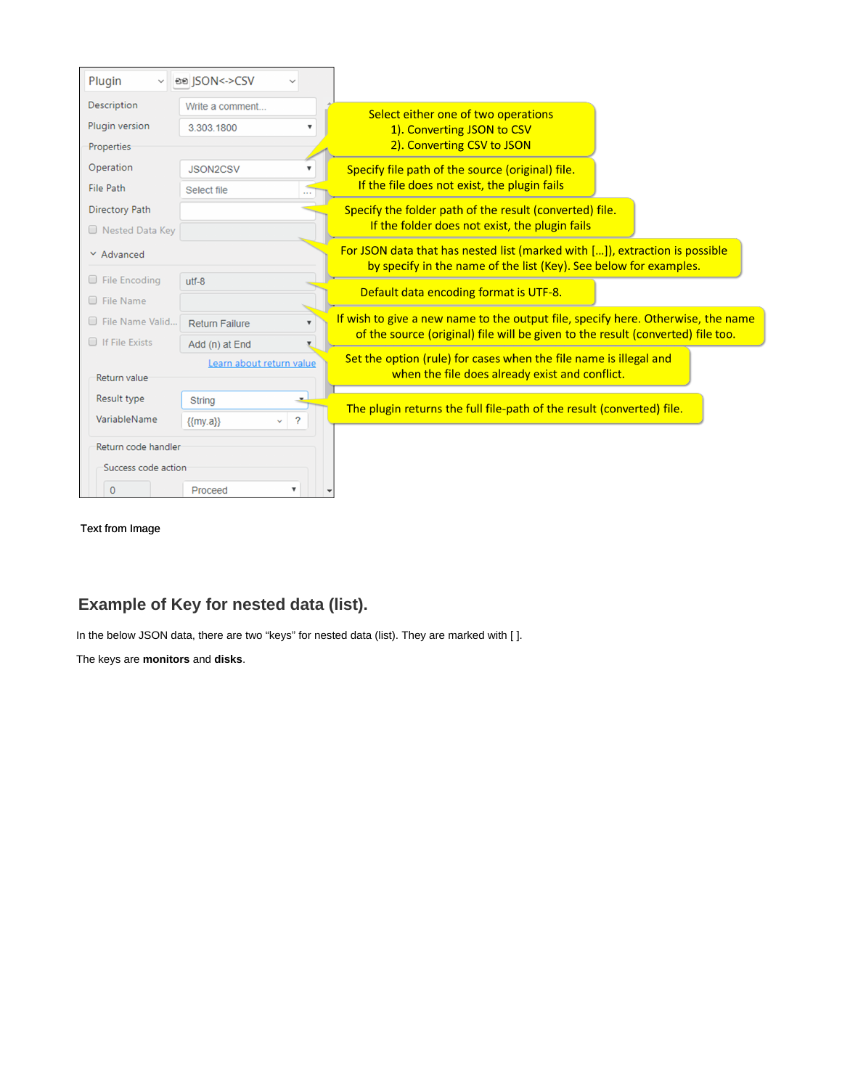| Plugin<br>$\checkmark$                                            | ee  SON<->CSV                                                                                                                                                                                |                                                                                                                                                  |  |  |
|-------------------------------------------------------------------|----------------------------------------------------------------------------------------------------------------------------------------------------------------------------------------------|--------------------------------------------------------------------------------------------------------------------------------------------------|--|--|
| <b>Description</b><br>Plugin version<br>Properties                | Write a comment<br>3.303.1800                                                                                                                                                                | Select either one of two operations<br>1). Converting JSON to CSV<br>2). Converting CSV to JSON                                                  |  |  |
| Operation<br><b>File Path</b>                                     | <b>JSON2CSV</b><br>Select file                                                                                                                                                               | Specify file path of the source (original) file.<br>If the file does not exist, the plugin fails                                                 |  |  |
| <b>Directory Path</b><br>Rested Data Key                          |                                                                                                                                                                                              | Specify the folder path of the result (converted) file.<br>If the folder does not exist, the plugin fails                                        |  |  |
| $\times$ Advanced                                                 |                                                                                                                                                                                              | For JSON data that has nested list (marked with []), extraction is possible<br>by specify in the name of the list (Key). See below for examples. |  |  |
| $\Box$ File Encoding<br><b>Eile Name</b>                          | $utf-8$                                                                                                                                                                                      | Default data encoding format is UTF-8.                                                                                                           |  |  |
| File Name Valid<br><b>Exists</b>                                  | If wish to give a new name to the output file, specify here. Otherwise, the name<br><b>Return Failure</b><br>of the source (original) file will be given to the result (converted) file too. |                                                                                                                                                  |  |  |
| Add (n) at End<br>Learn about return value<br><b>Return value</b> |                                                                                                                                                                                              | Set the option (rule) for cases when the file name is illegal and<br>when the file does already exist and conflict.                              |  |  |
| Result type<br>VariableName                                       | <b>String</b><br>$\overline{?}$<br>${my, a}$<br>v.                                                                                                                                           | The plugin returns the full file-path of the result (converted) file.                                                                            |  |  |
| Return code handler<br>Success code action                        |                                                                                                                                                                                              |                                                                                                                                                  |  |  |
| $\Omega$                                                          | Proceed<br>▼                                                                                                                                                                                 |                                                                                                                                                  |  |  |

Text from Image

## **Example of Key for nested data (list).**

In the below JSON data, there are two "keys" for nested data (list). They are marked with [ ].

The keys are **monitors** and **disks**.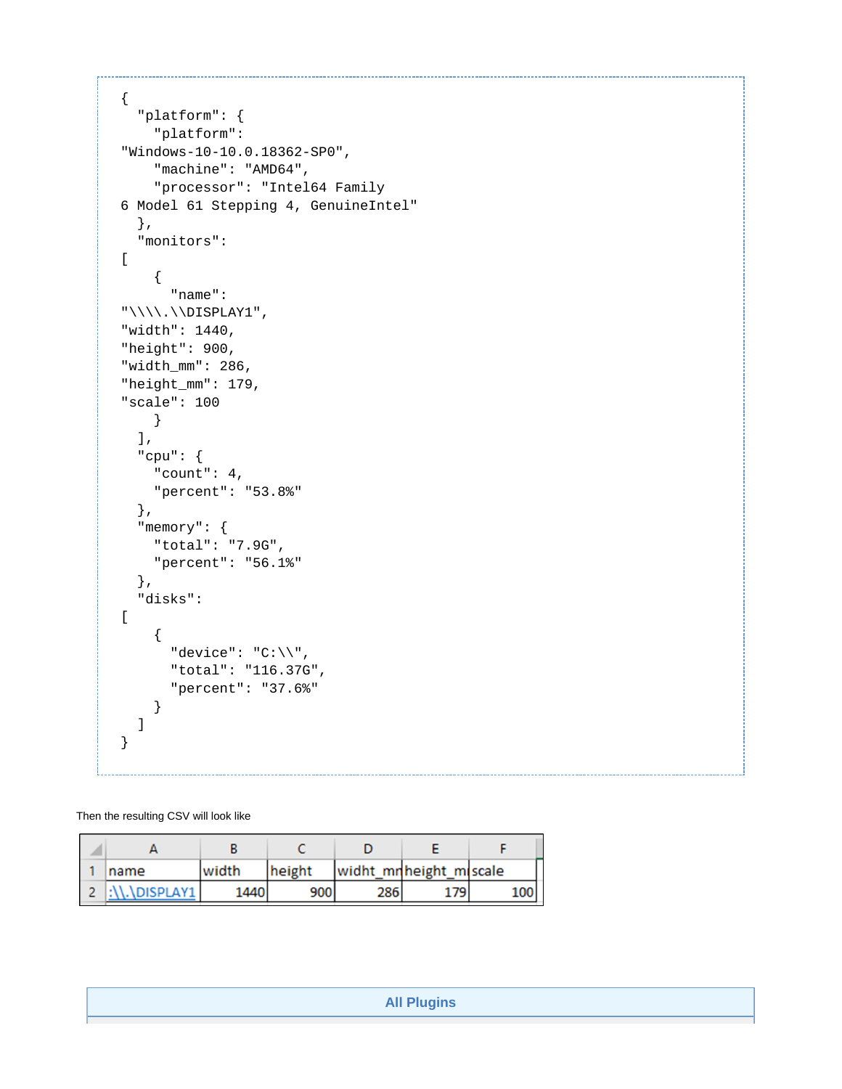```
{
   "platform": {
     "platform":
"Windows-10-10.0.18362-SP0",
     "machine": "AMD64",
     "processor": "Intel64 Family
6 Model 61 Stepping 4, GenuineIntel"
  },
   "monitors":
\lceil {
       "name":
"\\\\.\\DISPLAY1",
"width": 1440, 
"height": 900, 
"width_mm": 286, 
"height_mm": 179, 
"scale": 100
    }
   ],
   "cpu": {
     "count": 4,
     "percent": "53.8%"
   },
   "memory": {
     "total": "7.9G",
     "percent": "56.1%"
   },
   "disks":
[
     {
       "device": "C:\\",
       "total": "116.37G",
       "percent": "37.6%"
     }
   ]
}
```
Then the resulting CSV will look like

| name                 | width | height | widht_mnheight_miscale |     |     |
|----------------------|-------|--------|------------------------|-----|-----|
| <b>:\\.\DISPLAY1</b> | 1440  | 900    | 286                    | -79 | 100 |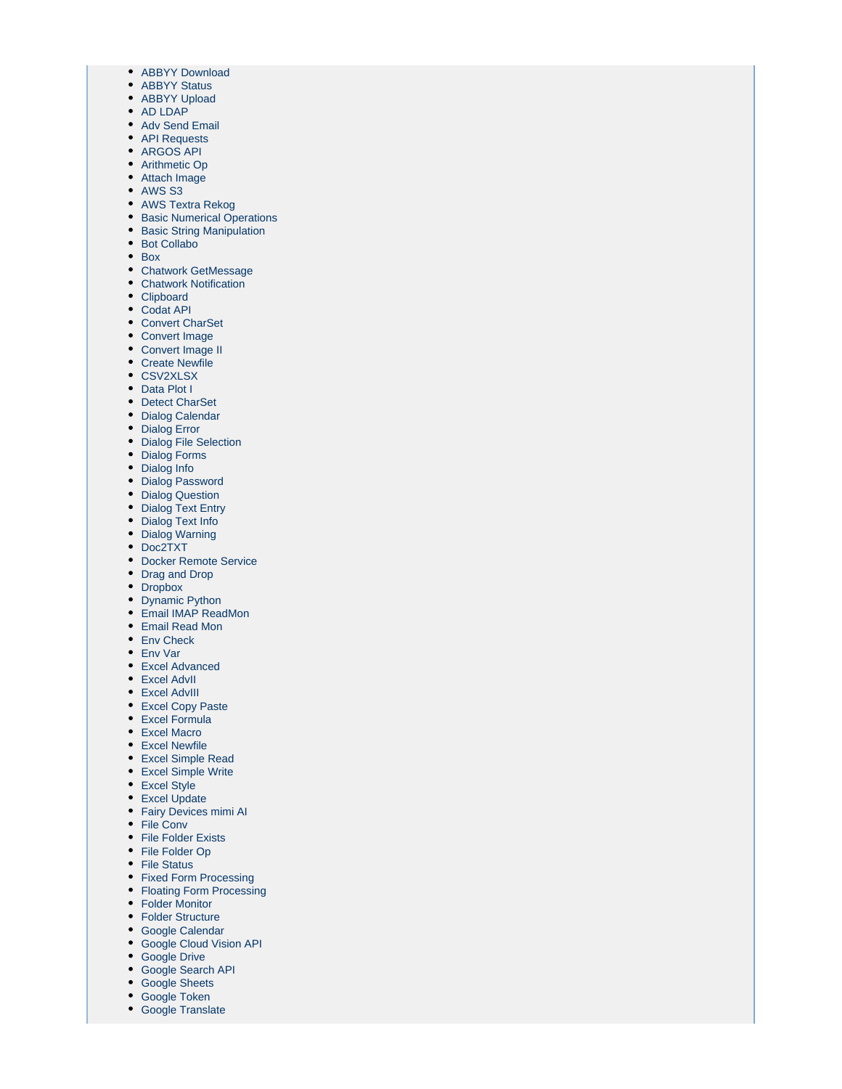- [ABBYY Download](https://wiki.argos-labs.com/display/RPARELNOTE/ABBYY+Download)
- [ABBYY Status](https://wiki.argos-labs.com/display/RPARELNOTE/ABBYY+Status)
- [ABBYY Upload](https://wiki.argos-labs.com/display/RPARELNOTE/ABBYY+Upload)
- [AD LDAP](https://wiki.argos-labs.com/display/RPARELNOTE/AD+LDAP)
- [Adv Send Email](https://wiki.argos-labs.com/display/RPARELNOTE/Adv+Send+Email)
- [API Requests](https://wiki.argos-labs.com/display/RPARELNOTE/API+Requests)
- [ARGOS API](https://wiki.argos-labs.com/display/RPARELNOTE/ARGOS+API)
- [Arithmetic Op](https://wiki.argos-labs.com/display/RPARELNOTE/Arithmetic+Op) [Attach Image](https://wiki.argos-labs.com/display/RPARELNOTE/Attach+Image)
- [AWS S3](https://wiki.argos-labs.com/display/RPARELNOTE/AWS+S3)
- 
- [AWS Textra Rekog](https://wiki.argos-labs.com/display/RPARELNOTE/AWS+Textra+Rekog)
- [Basic Numerical Operations](https://wiki.argos-labs.com/display/RPARELNOTE/Basic+Numerical+Operations) • [Basic String Manipulation](https://wiki.argos-labs.com/display/RPARELNOTE/Basic+String+Manipulation)
- [Bot Collabo](https://wiki.argos-labs.com/display/RPARELNOTE/Bot+Collabo)
- [Box](https://wiki.argos-labs.com/display/RPARELNOTE/Box)
- 
- [Chatwork GetMessage](https://wiki.argos-labs.com/display/RPARELNOTE/Chatwork+GetMessage) • [Chatwork Notification](https://wiki.argos-labs.com/display/RPARELNOTE/Chatwork+Notification)
- [Clipboard](https://wiki.argos-labs.com/display/RPARELNOTE/Clipboard)
- [Codat API](https://wiki.argos-labs.com/display/RPARELNOTE/Codat+API)
- [Convert CharSet](https://wiki.argos-labs.com/display/RPARELNOTE/Convert+CharSet)
- [Convert Image](https://wiki.argos-labs.com/display/RPARELNOTE/Convert+Image)
- [Convert Image II](https://wiki.argos-labs.com/display/RPARELNOTE/Convert+Image+II)
- [Create Newfile](https://wiki.argos-labs.com/display/RPARELNOTE/Create+Newfile)
- [CSV2XLSX](https://wiki.argos-labs.com/display/RPARELNOTE/CSV2XLSX)
- [Data Plot I](https://wiki.argos-labs.com/display/RPARELNOTE/Data+Plot+I)
- [Detect CharSet](https://wiki.argos-labs.com/display/RPARELNOTE/Detect+CharSet)
- [Dialog Calendar](https://wiki.argos-labs.com/display/RPARELNOTE/Dialog+Calendar)
- [Dialog Error](https://wiki.argos-labs.com/display/RPARELNOTE/Dialog+Error)
- [Dialog File Selection](https://wiki.argos-labs.com/display/RPARELNOTE/Dialog+File+Selection)
- [Dialog Forms](https://wiki.argos-labs.com/display/RPARELNOTE/Dialog+Forms)
- [Dialog Info](https://wiki.argos-labs.com/display/RPARELNOTE/Dialog+Info)
- [Dialog Password](https://wiki.argos-labs.com/display/RPARELNOTE/Dialog+Password)
- [Dialog Question](https://wiki.argos-labs.com/display/RPARELNOTE/Dialog+Question)
- [Dialog Text Entry](https://wiki.argos-labs.com/display/RPARELNOTE/Dialog+Text+Entry)
- [Dialog Text Info](https://wiki.argos-labs.com/display/RPARELNOTE/Dialog+Text+Info)
- [Dialog Warning](https://wiki.argos-labs.com/display/RPARELNOTE/Dialog+Warning)
- [Doc2TXT](https://wiki.argos-labs.com/display/RPARELNOTE/Doc2TXT)
- [Docker Remote Service](https://wiki.argos-labs.com/display/RPARELNOTE/Docker+Remote+Service)
- [Drag and Drop](https://wiki.argos-labs.com/display/RPARELNOTE/Drag+and+Drop)
- [Dropbox](https://wiki.argos-labs.com/display/RPARELNOTE/Dropbox)
- [Dynamic Python](https://wiki.argos-labs.com/display/RPARELNOTE/Dynamic+Python)
- [Email IMAP ReadMon](https://wiki.argos-labs.com/display/RPARELNOTE/Email+IMAP+ReadMon)
- [Email Read Mon](https://wiki.argos-labs.com/display/RPARELNOTE/Email+Read+Mon)
- [Env Check](https://wiki.argos-labs.com/display/RPARELNOTE/Env+Check)
- [Env Var](https://wiki.argos-labs.com/display/RPARELNOTE/Env+Var)
- [Excel Advanced](https://wiki.argos-labs.com/display/RPARELNOTE/Excel+Advanced)
- [Excel AdvII](https://wiki.argos-labs.com/display/RPARELNOTE/Excel+AdvII)
- [Excel AdvIII](https://wiki.argos-labs.com/display/RPARELNOTE/Excel+AdvIII)
- [Excel Copy Paste](https://wiki.argos-labs.com/display/RPARELNOTE/Excel+Copy+Paste)
- [Excel Formula](https://wiki.argos-labs.com/display/RPARELNOTE/Excel+Formula)
- [Excel Macro](https://wiki.argos-labs.com/display/RPARELNOTE/Excel+Macro)
- [Excel Newfile](https://wiki.argos-labs.com/display/RPARELNOTE/Excel+Newfile)
- [Excel Simple Read](https://wiki.argos-labs.com/display/RPARELNOTE/Excel+Simple+Read)
- [Excel Simple Write](https://wiki.argos-labs.com/display/RPARELNOTE/Excel+Simple+Write)
- [Excel Style](https://wiki.argos-labs.com/display/RPARELNOTE/Excel+Style)
- [Excel Update](https://wiki.argos-labs.com/display/RPARELNOTE/Excel+Update)
- [Fairy Devices mimi AI](https://wiki.argos-labs.com/display/RPARELNOTE/Fairy+Devices+mimi+AI)
- [File Conv](https://wiki.argos-labs.com/display/RPARELNOTE/File+Conv)
- [File Folder Exists](https://wiki.argos-labs.com/display/RPARELNOTE/File+Folder+Exists)
- [File Folder Op](https://wiki.argos-labs.com/display/RPARELNOTE/File+Folder+Op)
- [File Status](https://wiki.argos-labs.com/display/RPARELNOTE/File+Status)
- [Fixed Form Processing](https://wiki.argos-labs.com/display/RPARELNOTE/Fixed+Form+Processing)
- [Floating Form Processing](https://wiki.argos-labs.com/display/RPARELNOTE/Floating+Form+Processing)
- [Folder Monitor](https://wiki.argos-labs.com/display/RPARELNOTE/Folder+Monitor)
- [Folder Structure](https://wiki.argos-labs.com/display/RPARELNOTE/Folder+Structure)
- [Google Calendar](https://wiki.argos-labs.com/display/RPARELNOTE/Google+Calendar)
- [Google Cloud Vision API](https://wiki.argos-labs.com/display/RPARELNOTE/Google+Cloud+Vision+API)
- [Google Drive](https://wiki.argos-labs.com/display/RPARELNOTE/Google+Drive)
- [Google Search API](https://wiki.argos-labs.com/display/RPARELNOTE/Google+Search+API)
- [Google Sheets](https://wiki.argos-labs.com/display/RPARELNOTE/Google+Sheets)
- [Google Token](https://wiki.argos-labs.com/display/RPARELNOTE/Google+Token)
- [Google Translate](https://wiki.argos-labs.com/display/RPARELNOTE/Google+Translate)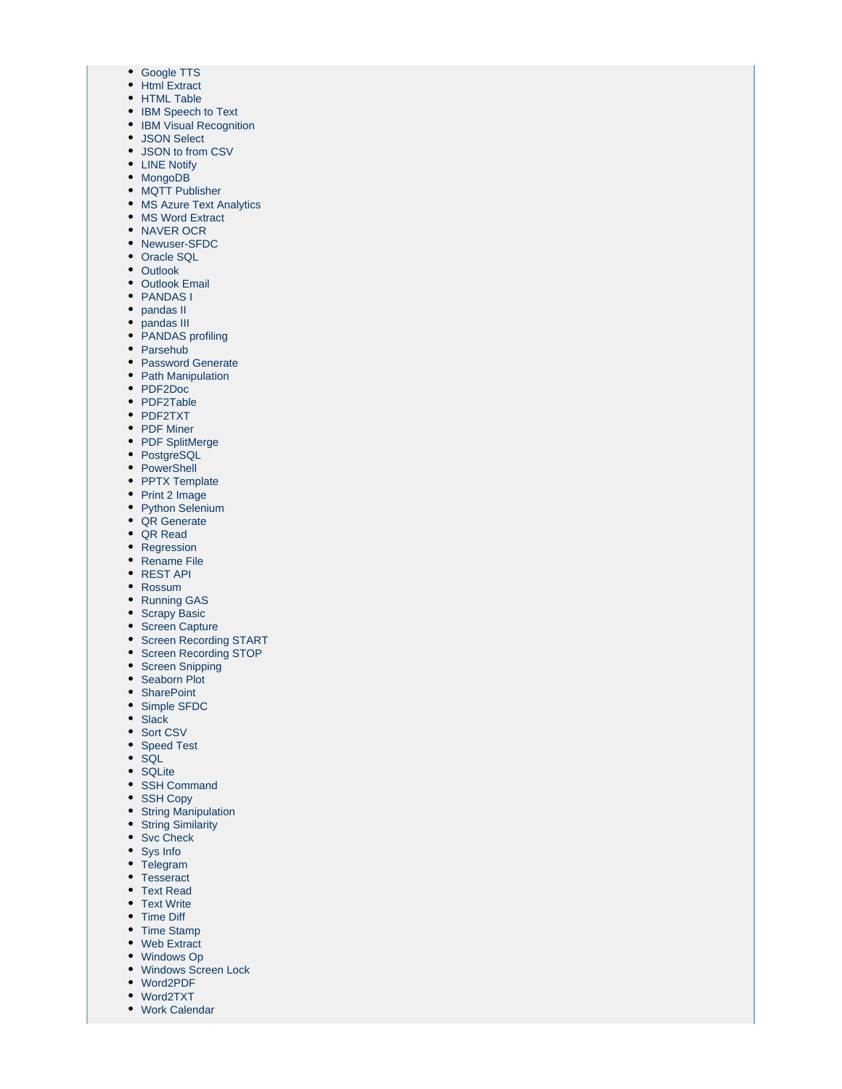- [Google TTS](https://wiki.argos-labs.com/display/RPARELNOTE/Google+TTS)
- [Html Extract](https://wiki.argos-labs.com/display/RPARELNOTE/Html+Extract)
- [HTML Table](https://wiki.argos-labs.com/display/RPARELNOTE/HTML+Table)
- [IBM Speech to Text](https://wiki.argos-labs.com/display/RPARELNOTE/IBM+Speech+to+Text)
- [IBM Visual Recognition](https://wiki.argos-labs.com/display/RPARELNOTE/IBM+Visual+Recognition)
- [JSON Select](https://wiki.argos-labs.com/display/RPARELNOTE/JSON+Select)
- [JSON to from CSV](#page-0-0)
- [LINE Notify](https://wiki.argos-labs.com/display/RPARELNOTE/LINE+Notify)
- [MongoDB](https://wiki.argos-labs.com/display/RPARELNOTE/MongoDB)
- [MQTT Publisher](https://wiki.argos-labs.com/display/RPARELNOTE/MQTT+Publisher)
- [MS Azure Text Analytics](https://wiki.argos-labs.com/display/RPARELNOTE/MS+Azure+Text+Analytics)
- [MS Word Extract](https://wiki.argos-labs.com/display/RPARELNOTE/MS+Word+Extract)
- [NAVER OCR](https://wiki.argos-labs.com/display/RPARELNOTE/NAVER+OCR)
- [Newuser-SFDC](https://wiki.argos-labs.com/display/RPARELNOTE/Newuser-SFDC) • [Oracle SQL](https://wiki.argos-labs.com/display/RPARELNOTE/Oracle+SQL)
- [Outlook](https://wiki.argos-labs.com/display/RPARELNOTE/Outlook)
- [Outlook Email](https://wiki.argos-labs.com/display/RPARELNOTE/Outlook+Email)
- [PANDAS I](https://wiki.argos-labs.com/display/RPARELNOTE/PANDAS+I)
- [pandas II](https://wiki.argos-labs.com/display/RPARELNOTE/pandas+II)
- [pandas III](https://wiki.argos-labs.com/display/RPARELNOTE/pandas+III)
- [PANDAS profiling](https://wiki.argos-labs.com/display/RPARELNOTE/PANDAS+profiling)
- [Parsehub](https://wiki.argos-labs.com/display/RPARELNOTE/Parsehub)
- [Password Generate](https://wiki.argos-labs.com/display/RPARELNOTE/Password+Generate)
- [Path Manipulation](https://wiki.argos-labs.com/display/RPARELNOTE/Path+Manipulation)
- [PDF2Doc](https://wiki.argos-labs.com/display/RPARELNOTE/PDF2Doc)
- [PDF2Table](https://wiki.argos-labs.com/display/RPARELNOTE/PDF2Table)
- [PDF2TXT](https://wiki.argos-labs.com/display/RPARELNOTE/PDF2TXT)
- [PDF Miner](https://wiki.argos-labs.com/display/RPARELNOTE/PDF+Miner)
- [PDF SplitMerge](https://wiki.argos-labs.com/display/RPARELNOTE/PDF+SplitMerge)
- [PostgreSQL](https://wiki.argos-labs.com/display/RPARELNOTE/PostgreSQL)
- [PowerShell](https://wiki.argos-labs.com/display/RPARELNOTE/PowerShell)
- [PPTX Template](https://wiki.argos-labs.com/display/RPARELNOTE/PPTX+Template)
- [Print 2 Image](https://wiki.argos-labs.com/display/RPARELNOTE/Print+2+Image)
- [Python Selenium](https://wiki.argos-labs.com/display/RPARELNOTE/Python+Selenium)
- [QR Generate](https://wiki.argos-labs.com/display/RPARELNOTE/QR+Generate)
- [QR Read](https://wiki.argos-labs.com/display/RPARELNOTE/QR+Read)
- [Regression](https://wiki.argos-labs.com/display/RPARELNOTE/Regression)
- [Rename File](https://wiki.argos-labs.com/display/RPARELNOTE/Rename+File)
- [REST API](https://wiki.argos-labs.com/display/RPARELNOTE/REST+API)
- [Rossum](https://wiki.argos-labs.com/display/RPARELNOTE/Rossum)
- [Running GAS](https://wiki.argos-labs.com/display/RPARELNOTE/Running+GAS)
- [Scrapy Basic](https://wiki.argos-labs.com/display/RPARELNOTE/Scrapy+Basic)
- [Screen Capture](https://wiki.argos-labs.com/display/RPARELNOTE/Screen+Capture)
- [Screen Recording START](https://wiki.argos-labs.com/display/RPARELNOTE/Screen+Recording+START)
- [Screen Recording STOP](https://wiki.argos-labs.com/display/RPARELNOTE/Screen+Recording+STOP)
- [Screen Snipping](https://wiki.argos-labs.com/display/RPARELNOTE/Screen+Snipping)
- [Seaborn Plot](https://wiki.argos-labs.com/display/RPARELNOTE/Seaborn+Plot)
- [SharePoint](https://wiki.argos-labs.com/display/RPARELNOTE/SharePoint)
- [Simple SFDC](https://wiki.argos-labs.com/display/RPARELNOTE/Simple+SFDC)
- [Slack](https://wiki.argos-labs.com/display/RPARELNOTE/Slack)
- [Sort CSV](https://wiki.argos-labs.com/display/RPARELNOTE/Sort+CSV)
- [Speed Test](https://wiki.argos-labs.com/display/RPARELNOTE/Speed+Test)
- $\bullet$  [SQL](https://wiki.argos-labs.com/display/RPARELNOTE/SQL)
- [SQLite](https://wiki.argos-labs.com/display/RPARELNOTE/SQLite)
- [SSH Command](https://wiki.argos-labs.com/display/RPARELNOTE/SSH+Command)
- [SSH Copy](https://wiki.argos-labs.com/display/RPARELNOTE/SSH+Copy)
- [String Manipulation](https://wiki.argos-labs.com/display/RPARELNOTE/String+Manipulation)
- [String Similarity](https://wiki.argos-labs.com/display/RPARELNOTE/String+Similarity)
- [Svc Check](https://wiki.argos-labs.com/display/RPARELNOTE/Svc+Check)
- [Sys Info](https://wiki.argos-labs.com/display/RPARELNOTE/Sys+Info)
- [Telegram](https://wiki.argos-labs.com/display/RPARELNOTE/Telegram)
- [Tesseract](https://wiki.argos-labs.com/display/RPARELNOTE/Tesseract)
- [Text Read](https://wiki.argos-labs.com/display/RPARELNOTE/Text+Read)
- [Text Write](https://wiki.argos-labs.com/display/RPARELNOTE/Text+Write)
- [Time Diff](https://wiki.argos-labs.com/display/RPARELNOTE/Time+Diff)
- [Time Stamp](https://wiki.argos-labs.com/display/RPARELNOTE/Time+Stamp)
- [Web Extract](https://wiki.argos-labs.com/display/RPARELNOTE/Web+Extract)
- [Windows Op](https://wiki.argos-labs.com/display/RPARELNOTE/Windows+Op)
- [Windows Screen Lock](https://wiki.argos-labs.com/display/RPARELNOTE/Windows+Screen+Lock)
- [Word2PDF](https://wiki.argos-labs.com/display/RPARELNOTE/Word2PDF)
- [Word2TXT](https://wiki.argos-labs.com/display/RPARELNOTE/Word2TXT)
- [Work Calendar](https://wiki.argos-labs.com/display/RPARELNOTE/Work+Calendar)